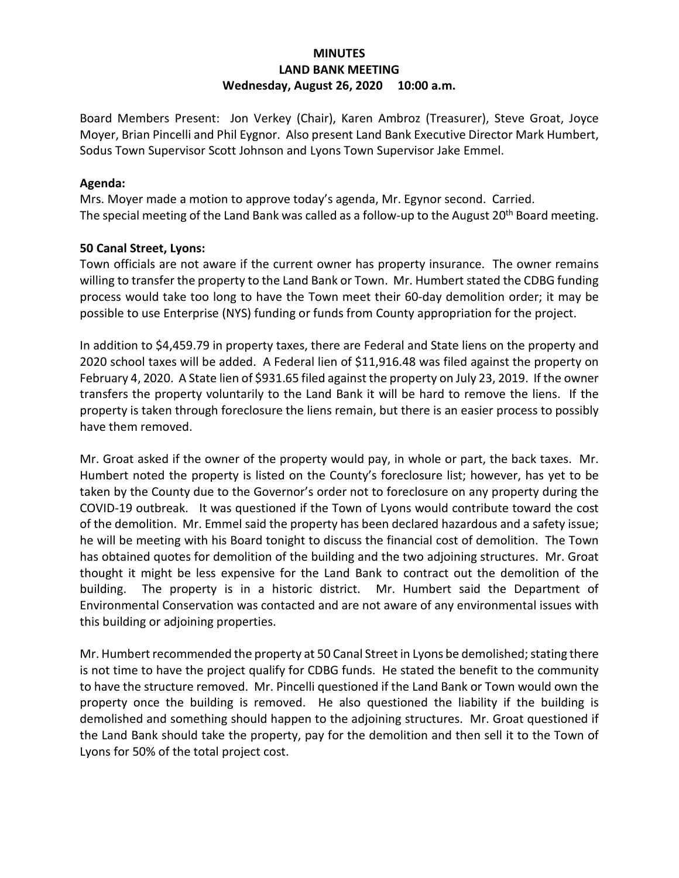# **MINUTES LAND BANK MEETING Wednesday, August 26, 2020 10:00 a.m.**

Board Members Present: Jon Verkey (Chair), Karen Ambroz (Treasurer), Steve Groat, Joyce Moyer, Brian Pincelli and Phil Eygnor. Also present Land Bank Executive Director Mark Humbert, Sodus Town Supervisor Scott Johnson and Lyons Town Supervisor Jake Emmel.

# **Agenda:**

Mrs. Moyer made a motion to approve today's agenda, Mr. Egynor second. Carried. The special meeting of the Land Bank was called as a follow-up to the August 20<sup>th</sup> Board meeting.

# **50 Canal Street, Lyons:**

Town officials are not aware if the current owner has property insurance. The owner remains willing to transfer the property to the Land Bank or Town. Mr. Humbert stated the CDBG funding process would take too long to have the Town meet their 60-day demolition order; it may be possible to use Enterprise (NYS) funding or funds from County appropriation for the project.

In addition to \$4,459.79 in property taxes, there are Federal and State liens on the property and 2020 school taxes will be added. A Federal lien of \$11,916.48 was filed against the property on February 4, 2020. A State lien of \$931.65 filed against the property on July 23, 2019. If the owner transfers the property voluntarily to the Land Bank it will be hard to remove the liens. If the property is taken through foreclosure the liens remain, but there is an easier process to possibly have them removed.

Mr. Groat asked if the owner of the property would pay, in whole or part, the back taxes. Mr. Humbert noted the property is listed on the County's foreclosure list; however, has yet to be taken by the County due to the Governor's order not to foreclosure on any property during the COVID-19 outbreak. It was questioned if the Town of Lyons would contribute toward the cost of the demolition. Mr. Emmel said the property has been declared hazardous and a safety issue; he will be meeting with his Board tonight to discuss the financial cost of demolition. The Town has obtained quotes for demolition of the building and the two adjoining structures. Mr. Groat thought it might be less expensive for the Land Bank to contract out the demolition of the building. The property is in a historic district. Mr. Humbert said the Department of Environmental Conservation was contacted and are not aware of any environmental issues with this building or adjoining properties.

Mr. Humbert recommended the property at 50 Canal Street in Lyons be demolished; stating there is not time to have the project qualify for CDBG funds. He stated the benefit to the community to have the structure removed. Mr. Pincelli questioned if the Land Bank or Town would own the property once the building is removed. He also questioned the liability if the building is demolished and something should happen to the adjoining structures. Mr. Groat questioned if the Land Bank should take the property, pay for the demolition and then sell it to the Town of Lyons for 50% of the total project cost.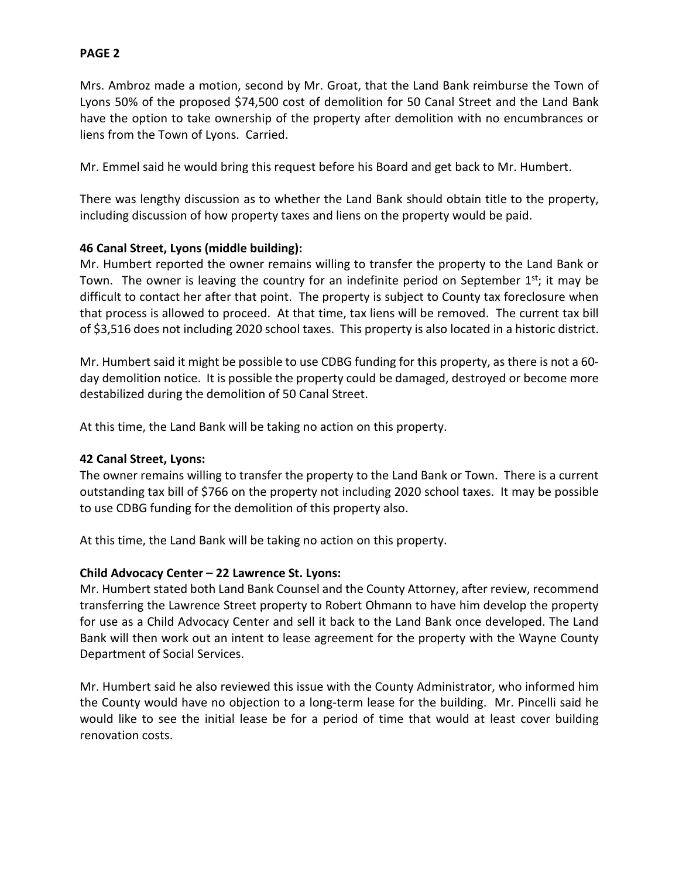Mrs. Ambroz made a motion, second by Mr. Groat, that the Land Bank reimburse the Town of Lyons 50% of the proposed \$74,500 cost of demolition for 50 Canal Street and the Land Bank have the option to take ownership of the property after demolition with no encumbrances or liens from the Town of Lyons. Carried.

Mr. Emmel said he would bring this request before his Board and get back to Mr. Humbert.

There was lengthy discussion as to whether the Land Bank should obtain title to the property, including discussion of how property taxes and liens on the property would be paid.

# **46 Canal Street, Lyons (middle building):**

Mr. Humbert reported the owner remains willing to transfer the property to the Land Bank or Town. The owner is leaving the country for an indefinite period on September 1<sup>st</sup>; it may be difficult to contact her after that point. The property is subject to County tax foreclosure when that process is allowed to proceed. At that time, tax liens will be removed. The current tax bill of \$3,516 does not including 2020 school taxes. This property is also located in a historic district.

Mr. Humbert said it might be possible to use CDBG funding for this property, as there is not a 60 day demolition notice. It is possible the property could be damaged, destroyed or become more destabilized during the demolition of 50 Canal Street.

At this time, the Land Bank will be taking no action on this property.

# **42 Canal Street, Lyons:**

The owner remains willing to transfer the property to the Land Bank or Town. There is a current outstanding tax bill of \$766 on the property not including 2020 school taxes. It may be possible to use CDBG funding for the demolition of this property also.

At this time, the Land Bank will be taking no action on this property.

# **Child Advocacy Center – 22 Lawrence St. Lyons:**

Mr. Humbert stated both Land Bank Counsel and the County Attorney, after review, recommend transferring the Lawrence Street property to Robert Ohmann to have him develop the property for use as a Child Advocacy Center and sell it back to the Land Bank once developed. The Land Bank will then work out an intent to lease agreement for the property with the Wayne County Department of Social Services.

Mr. Humbert said he also reviewed this issue with the County Administrator, who informed him the County would have no objection to a long-term lease for the building. Mr. Pincelli said he would like to see the initial lease be for a period of time that would at least cover building renovation costs.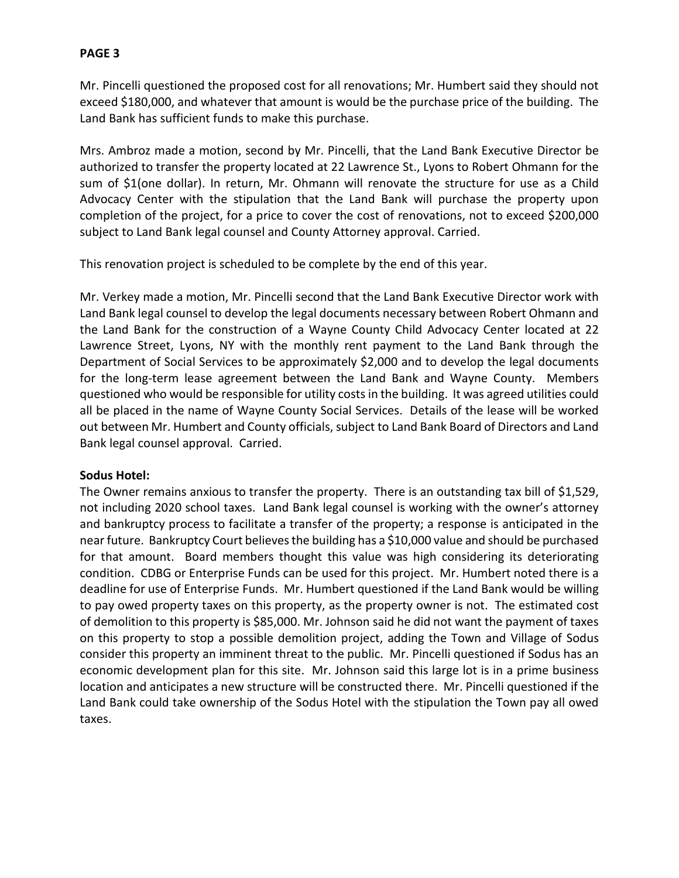Mr. Pincelli questioned the proposed cost for all renovations; Mr. Humbert said they should not exceed \$180,000, and whatever that amount is would be the purchase price of the building. The Land Bank has sufficient funds to make this purchase.

Mrs. Ambroz made a motion, second by Mr. Pincelli, that the Land Bank Executive Director be authorized to transfer the property located at 22 Lawrence St., Lyons to Robert Ohmann for the sum of \$1(one dollar). In return, Mr. Ohmann will renovate the structure for use as a Child Advocacy Center with the stipulation that the Land Bank will purchase the property upon completion of the project, for a price to cover the cost of renovations, not to exceed \$200,000 subject to Land Bank legal counsel and County Attorney approval. Carried.

This renovation project is scheduled to be complete by the end of this year.

Mr. Verkey made a motion, Mr. Pincelli second that the Land Bank Executive Director work with Land Bank legal counsel to develop the legal documents necessary between Robert Ohmann and the Land Bank for the construction of a Wayne County Child Advocacy Center located at 22 Lawrence Street, Lyons, NY with the monthly rent payment to the Land Bank through the Department of Social Services to be approximately \$2,000 and to develop the legal documents for the long-term lease agreement between the Land Bank and Wayne County. Members questioned who would be responsible for utility costs in the building. It was agreed utilities could all be placed in the name of Wayne County Social Services. Details of the lease will be worked out between Mr. Humbert and County officials, subject to Land Bank Board of Directors and Land Bank legal counsel approval. Carried.

# **Sodus Hotel:**

The Owner remains anxious to transfer the property. There is an outstanding tax bill of \$1,529, not including 2020 school taxes. Land Bank legal counsel is working with the owner's attorney and bankruptcy process to facilitate a transfer of the property; a response is anticipated in the near future. Bankruptcy Court believes the building has a \$10,000 value and should be purchased for that amount. Board members thought this value was high considering its deteriorating condition. CDBG or Enterprise Funds can be used for this project. Mr. Humbert noted there is a deadline for use of Enterprise Funds. Mr. Humbert questioned if the Land Bank would be willing to pay owed property taxes on this property, as the property owner is not. The estimated cost of demolition to this property is \$85,000. Mr. Johnson said he did not want the payment of taxes on this property to stop a possible demolition project, adding the Town and Village of Sodus consider this property an imminent threat to the public. Mr. Pincelli questioned if Sodus has an economic development plan for this site. Mr. Johnson said this large lot is in a prime business location and anticipates a new structure will be constructed there. Mr. Pincelli questioned if the Land Bank could take ownership of the Sodus Hotel with the stipulation the Town pay all owed taxes.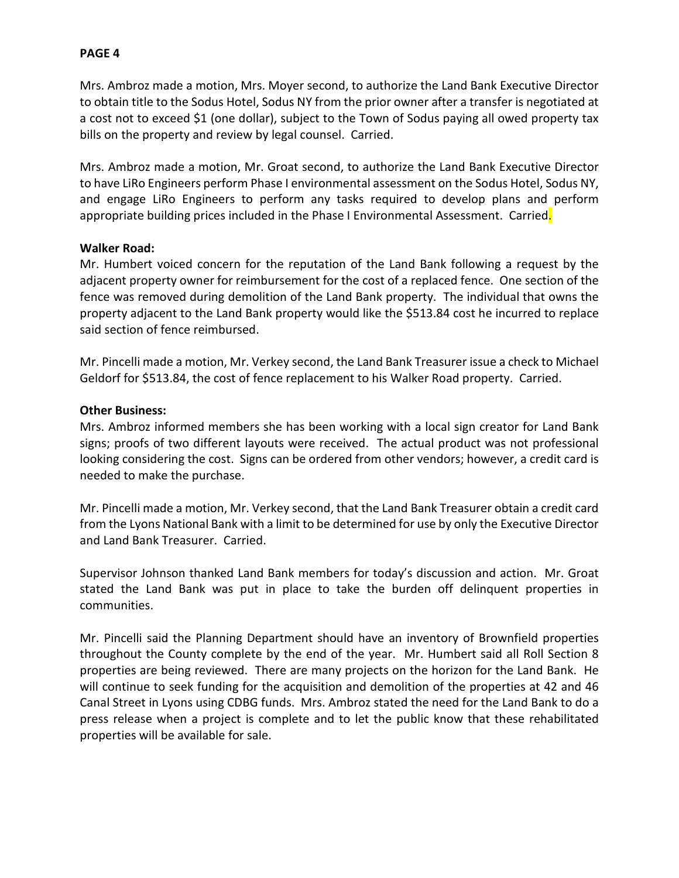Mrs. Ambroz made a motion, Mrs. Moyer second, to authorize the Land Bank Executive Director to obtain title to the Sodus Hotel, Sodus NY from the prior owner after a transfer is negotiated at a cost not to exceed \$1 (one dollar), subject to the Town of Sodus paying all owed property tax bills on the property and review by legal counsel. Carried.

Mrs. Ambroz made a motion, Mr. Groat second, to authorize the Land Bank Executive Director to have LiRo Engineers perform Phase I environmental assessment on the Sodus Hotel, Sodus NY, and engage LiRo Engineers to perform any tasks required to develop plans and perform appropriate building prices included in the Phase I Environmental Assessment. Carried.

### **Walker Road:**

Mr. Humbert voiced concern for the reputation of the Land Bank following a request by the adjacent property owner for reimbursement for the cost of a replaced fence. One section of the fence was removed during demolition of the Land Bank property. The individual that owns the property adjacent to the Land Bank property would like the \$513.84 cost he incurred to replace said section of fence reimbursed.

Mr. Pincelli made a motion, Mr. Verkey second, the Land Bank Treasurer issue a check to Michael Geldorf for \$513.84, the cost of fence replacement to his Walker Road property. Carried.

### **Other Business:**

Mrs. Ambroz informed members she has been working with a local sign creator for Land Bank signs; proofs of two different layouts were received. The actual product was not professional looking considering the cost. Signs can be ordered from other vendors; however, a credit card is needed to make the purchase.

Mr. Pincelli made a motion, Mr. Verkey second, that the Land Bank Treasurer obtain a credit card from the Lyons National Bank with a limit to be determined for use by only the Executive Director and Land Bank Treasurer. Carried.

Supervisor Johnson thanked Land Bank members for today's discussion and action. Mr. Groat stated the Land Bank was put in place to take the burden off delinquent properties in communities.

Mr. Pincelli said the Planning Department should have an inventory of Brownfield properties throughout the County complete by the end of the year. Mr. Humbert said all Roll Section 8 properties are being reviewed. There are many projects on the horizon for the Land Bank. He will continue to seek funding for the acquisition and demolition of the properties at 42 and 46 Canal Street in Lyons using CDBG funds. Mrs. Ambroz stated the need for the Land Bank to do a press release when a project is complete and to let the public know that these rehabilitated properties will be available for sale.